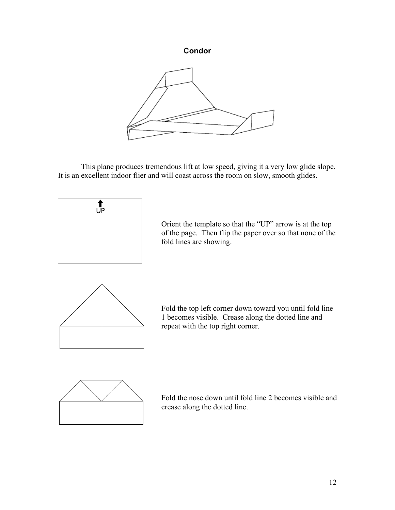## **Condor**



 This plane produces tremendous lift at low speed, giving it a very low glide slope. It is an excellent indoor flier and will coast across the room on slow, smooth glides.



Orient the template so that the "UP" arrow is at the top of the page. Then flip the paper over so that none of the fold lines are showing.



Fold the top left corner down toward you until fold line 1 becomes visible. Crease along the dotted line and repeat with the top right corner.



Fold the nose down until fold line 2 becomes visible and crease along the dotted line.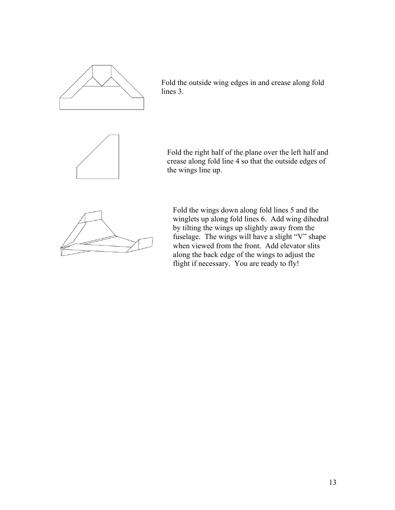

Fold the outside wing edges in and crease along fold lines 3.



Fold the right half of the plane over the left half and crease along fold line 4 so that the outside edges of the wings line up.



Fold the wings down along fold lines 5 and the winglets up along fold lines 6. Add wing dihedral by tilting the wings up slightly away from the fuselage. The wings will have a slight "V" shape when viewed from the front. Add elevator slits along the back edge of the wings to adjust the flight if necessary. You are ready to fly!